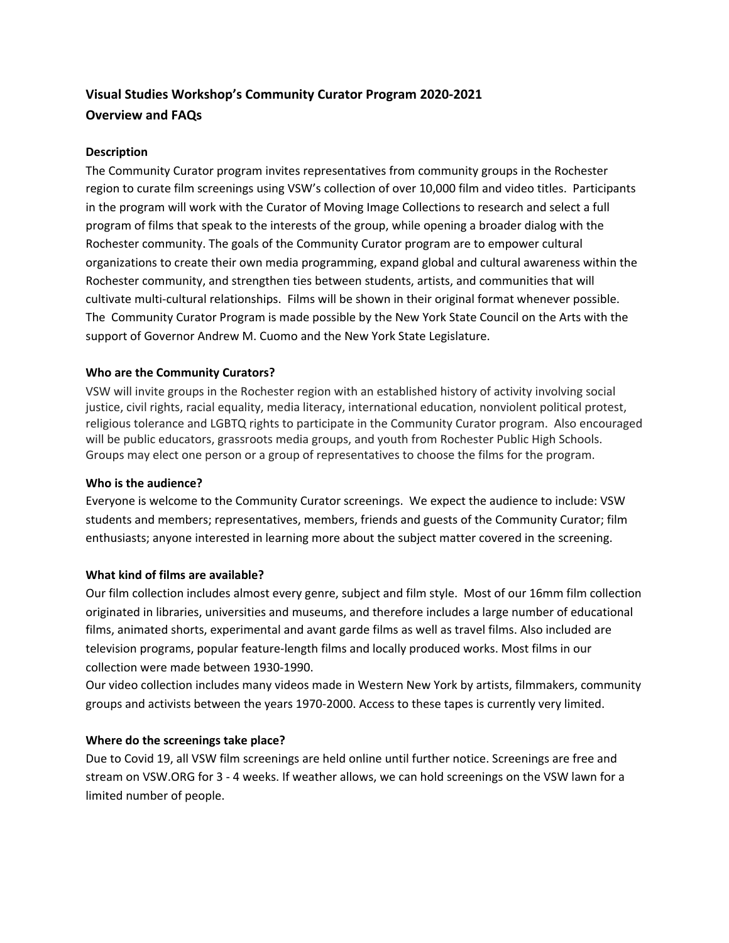# **Visual Studies Workshop's Community Curator Program 2020-2021 Overview and FAQs**

### **Description**

The Community Curator program invites representatives from community groups in the Rochester region to curate film screenings using VSW's collection of over 10,000 film and video titles. Participants in the program will work with the Curator of Moving Image Collections to research and select a full program of films that speak to the interests of the group, while opening a broader dialog with the Rochester community. The goals of the Community Curator program are to empower cultural organizations to create their own media programming, expand global and cultural awareness within the Rochester community, and strengthen ties between students, artists, and communities that will cultivate multi-cultural relationships. Films will be shown in their original format whenever possible. The Community Curator Program is made possible by the New York State Council on the Arts with the support of Governor Andrew M. Cuomo and the New York State Legislature.

## **Who are the Community Curators?**

VSW will invite groups in the Rochester region with an established history of activity involving social justice, civil rights, racial equality, media literacy, international education, nonviolent political protest, religious tolerance and LGBTQ rights to participate in the Community Curator program. Also encouraged will be public educators, grassroots media groups, and youth from Rochester Public High Schools. Groups may elect one person or a group of representatives to choose the films for the program.

### **Who is the audience?**

Everyone is welcome to the Community Curator screenings. We expect the audience to include: VSW students and members; representatives, members, friends and guests of the Community Curator; film enthusiasts; anyone interested in learning more about the subject matter covered in the screening.

### **What kind of films are available?**

Our film collection includes almost every genre, subject and film style. Most of our 16mm film collection originated in libraries, universities and museums, and therefore includes a large number of educational films, animated shorts, experimental and avant garde films as well as travel films. Also included are television programs, popular feature-length films and locally produced works. Most films in our collection were made between 1930-1990.

Our video collection includes many videos made in Western New York by artists, filmmakers, community groups and activists between the years 1970-2000. Access to these tapes is currently very limited.

### **Where do the screenings take place?**

Due to Covid 19, all VSW film screenings are held online until further notice. Screenings are free and stream on VSW.ORG for 3 - 4 weeks. If weather allows, we can hold screenings on the VSW lawn for a limited number of people.